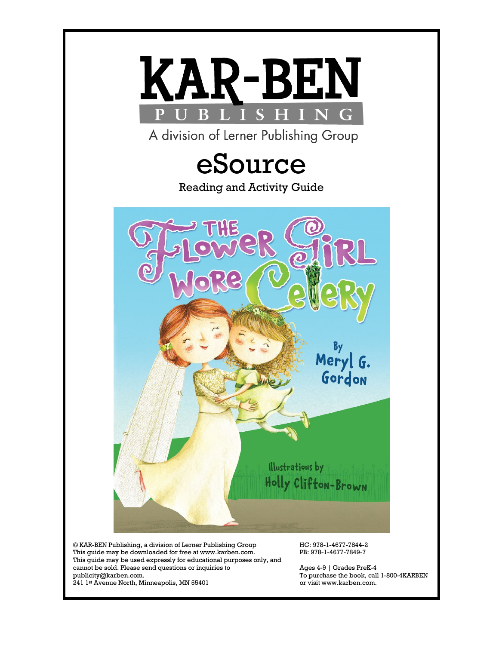

© KAR-BEN Publishing, a division of Lerner Publishing Group This guide may be downloaded for free at www.karben.com. This guide may be used expressly for educational purposes only, and cannot be sold. Please send questions or inquiries to publicity@karben.com.

HC: 978-1-4677-7844-2 PB: 978-1-4677-7849-7

Ages 4-9 | Grades PreK-4 To purchase the book, call 1-800-4KARBEN or visit www.karben.com.

241 1st Avenue North, Minneapolis, MN 55401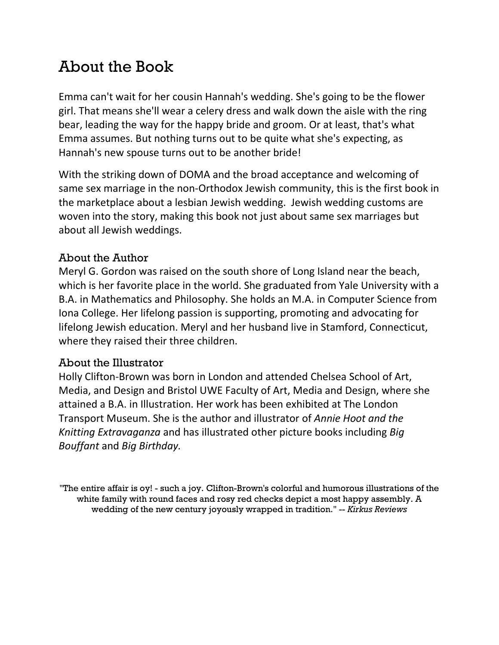# About the Book

Emma can't wait for her cousin Hannah's wedding. She's going to be the flower girl. That means she'll wear a celery dress and walk down the aisle with the ring bear, leading the way for the happy bride and groom. Or at least, that's what Emma assumes. But nothing turns out to be quite what she's expecting, as Hannah's new spouse turns out to be another bride!

With the striking down of DOMA and the broad acceptance and welcoming of same sex marriage in the non-Orthodox Jewish community, this is the first book in the marketplace about a lesbian Jewish wedding. Jewish wedding customs are woven into the story, making this book not just about same sex marriages but about all Jewish weddings.

### About the Author

Meryl G. Gordon was raised on the south shore of Long Island near the beach, which is her favorite place in the world. She graduated from Yale University with a B.A. in Mathematics and Philosophy. She holds an M.A. in Computer Science from Iona College. Her lifelong passion is supporting, promoting and advocating for lifelong Jewish education. Meryl and her husband live in Stamford, Connecticut, where they raised their three children.

### About the Illustrator

Holly Clifton-Brown was born in London and attended Chelsea School of Art, Media, and Design and Bristol UWE Faculty of Art, Media and Design, where she attained a B.A. in Illustration. Her work has been exhibited at The London Transport Museum. She is the author and illustrator of *Annie Hoot and the Knitting Extravaganza* and has illustrated other picture books including *Big Bouffant* and *Big Birthday.*

"The entire affair is oy! - such a joy. Clifton-Brown's colorful and humorous illustrations of the white family with round faces and rosy red checks depict a most happy assembly. A wedding of the new century joyously wrapped in tradition." -- *Kirkus Reviews*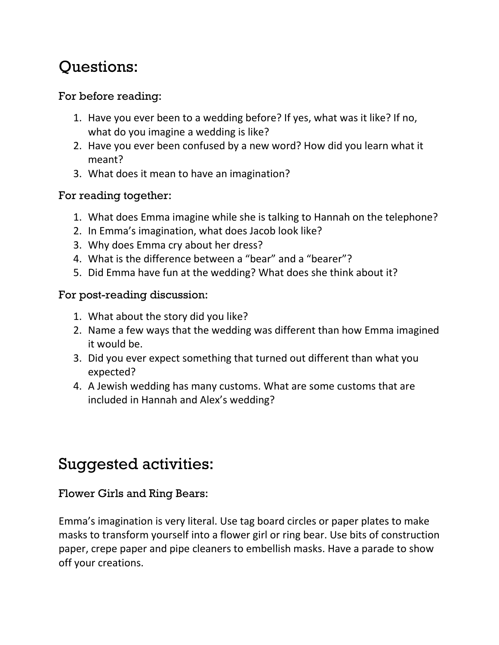# Questions:

# For before reading:

- 1. Have you ever been to a wedding before? If yes, what was it like? If no, what do you imagine a wedding is like?
- 2. Have you ever been confused by a new word? How did you learn what it meant?
- 3. What does it mean to have an imagination?

## For reading together:

- 1. What does Emma imagine while she is talking to Hannah on the telephone?
- 2. In Emma's imagination, what does Jacob look like?
- 3. Why does Emma cry about her dress?
- 4. What is the difference between a "bear" and a "bearer"?
- 5. Did Emma have fun at the wedding? What does she think about it?

## For post-reading discussion:

- 1. What about the story did you like?
- 2. Name a few ways that the wedding was different than how Emma imagined it would be.
- 3. Did you ever expect something that turned out different than what you expected?
- 4. A Jewish wedding has many customs. What are some customs that are included in Hannah and Alex's wedding?

# Suggested activities:

## Flower Girls and Ring Bears:

Emma's imagination is very literal. Use tag board circles or paper plates to make masks to transform yourself into a flower girl or ring bear. Use bits of construction paper, crepe paper and pipe cleaners to embellish masks. Have a parade to show off your creations.